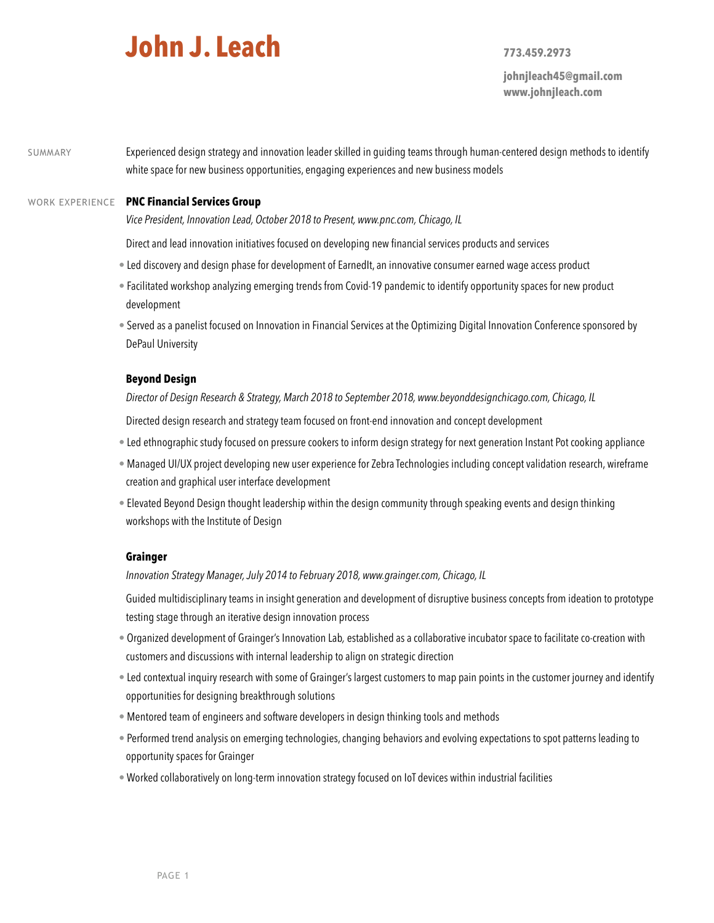# **John J. Leach 773.459.2973**

**johnjleach45@gmail.com www.johnjleach.com**

SUMMARY Experienced design strategy and innovation leader skilled in guiding teams through human-centered design methods to identify white space for new business opportunities, engaging experiences and new business models

## WORK EXPERIENCE **PNC Financial Services Group**

*Vice President, Innovation Lead, October 2018 to Present, www.pnc.com, Chicago, IL*

Direct and lead innovation initiatives focused on developing new financial services products and services

- Led discovery and design phase for development of EarnedIt, an innovative consumer earned wage access product
- Facilitated workshop analyzing emerging trends from Covid-19 pandemic to identify opportunity spaces for new product development
- Served as a panelist focused on Innovation in Financial Services at the Optimizing Digital Innovation Conference sponsored by DePaul University

#### **Beyond Design**

*Director of Design Research & Strategy, March 2018 to September 2018, www.beyonddesignchicago.com, Chicago, IL*

Directed design research and strategy team focused on front-end innovation and concept development

- Led ethnographic study focused on pressure cookers to inform design strategy for next generation Instant Pot cooking appliance
- Managed UI/UX project developing new user experience for Zebra Technologies including concept validation research, wireframe creation and graphical user interface development
- Elevated Beyond Design thought leadership within the design community through speaking events and design thinking workshops with the Institute of Design

## **Grainger**

*Innovation Strategy Manager, July 2014 to February 2018, www.grainger.com, Chicago, IL*

Guided multidisciplinary teams in insight generation and development of disruptive business concepts from ideation to prototype testing stage through an iterative design innovation process

- Organized development of Grainger's Innovation Lab*,* established as a collaborative incubator space to facilitate co-creation with customers and discussions with internal leadership to align on strategic direction
- Led contextual inquiry research with some of Grainger's largest customers to map pain points in the customer journey and identify opportunities for designing breakthrough solutions
- Mentored team of engineers and software developers in design thinking tools and methods
- Performed trend analysis on emerging technologies, changing behaviors and evolving expectations to spot patterns leading to opportunity spaces for Grainger
- Worked collaboratively on long-term innovation strategy focused on IoT devices within industrial facilities